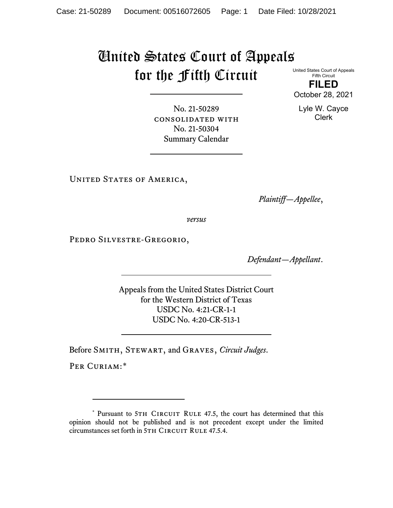## United States Court of Appeals for the Fifth Circuit

United States Court of Appeals Fifth Circuit **FILED**

October 28, 2021

Lyle W. Cayce Clerk

No. 21-50289 consolidated with No. 21-50304 Summary Calendar

UNITED STATES OF AMERICA,

*Plaintiff—Appellee*,

*versus*

PEDRO SILVESTRE-GREGORIO,

*Defendant—Appellant*.

Appeals from the United States District Court for the Western District of Texas USDC No. 4:21-CR-1-1 USDC No. 4:20-CR-513-1

Before Smith, Stewart, and Graves, *Circuit Judges*.

PER CURIAM:[\\*](#page-0-0)

<span id="page-0-0"></span><sup>\*</sup> Pursuant to 5TH CIRCUIT RULE 47.5, the court has determined that this opinion should not be published and is not precedent except under the limited circumstances set forth in 5TH CIRCUIT RULE 47.5.4.